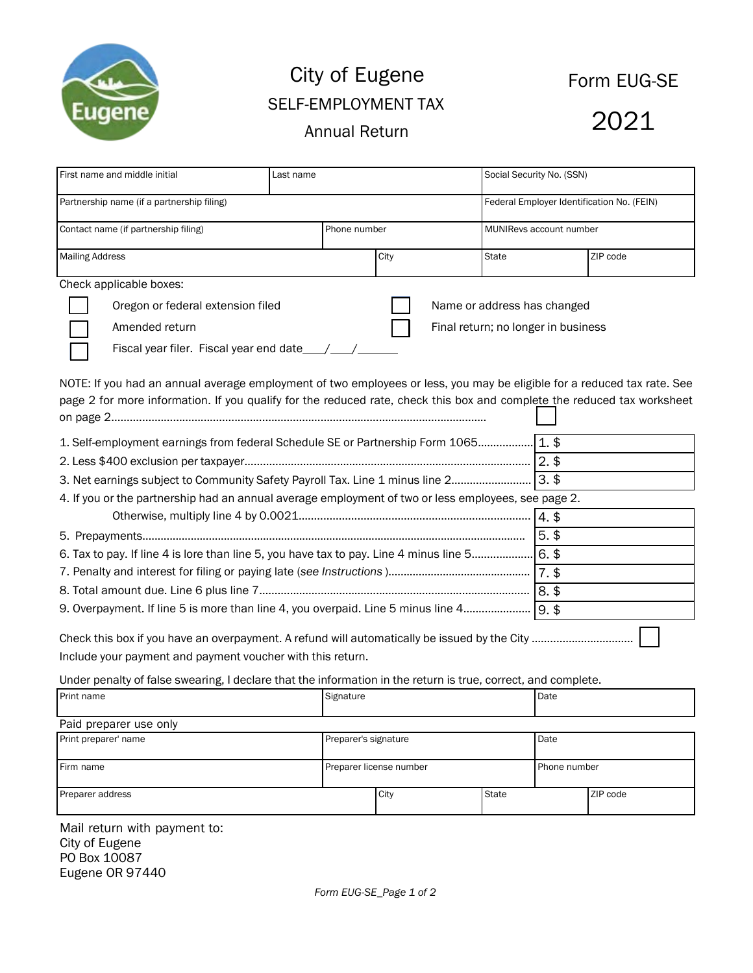

## City of Eugene<br>
Form EUG-SE SELF-EMPLOYMENT TAX Annual Return 1773

| First name and middle initial                                                                                                                                                                                                                                                                                                                                                                         | Last name    |                                     | Social Security No. (SSN)                  |          |  |
|-------------------------------------------------------------------------------------------------------------------------------------------------------------------------------------------------------------------------------------------------------------------------------------------------------------------------------------------------------------------------------------------------------|--------------|-------------------------------------|--------------------------------------------|----------|--|
| Partnership name (if a partnership filing)                                                                                                                                                                                                                                                                                                                                                            |              |                                     | Federal Employer Identification No. (FEIN) |          |  |
| Contact name (if partnership filing)                                                                                                                                                                                                                                                                                                                                                                  | Phone number |                                     | MUNIRevs account number                    |          |  |
| <b>Mailing Address</b>                                                                                                                                                                                                                                                                                                                                                                                | City         |                                     | State                                      | ZIP code |  |
| Check applicable boxes:                                                                                                                                                                                                                                                                                                                                                                               |              |                                     |                                            |          |  |
| Oregon or federal extension filed                                                                                                                                                                                                                                                                                                                                                                     |              |                                     | Name or address has changed                |          |  |
| Amended return                                                                                                                                                                                                                                                                                                                                                                                        |              | Final return; no longer in business |                                            |          |  |
|                                                                                                                                                                                                                                                                                                                                                                                                       |              |                                     |                                            |          |  |
| page 2 for more information. If you qualify for the reduced rate, check this box and complete the reduced tax worksheet<br>1. Self-employment earnings from federal Schedule SE or Partnership Form 1065 1. \$<br>3. Net earnings subject to Community Safety Payroll Tax. Line 1 minus line 2<br>4. If you or the partnership had an annual average employment of two or less employees, see page 2. |              |                                     | $3.$ \$                                    |          |  |
|                                                                                                                                                                                                                                                                                                                                                                                                       |              |                                     |                                            |          |  |
|                                                                                                                                                                                                                                                                                                                                                                                                       |              |                                     | $5.$ \$                                    |          |  |
|                                                                                                                                                                                                                                                                                                                                                                                                       |              |                                     |                                            |          |  |
|                                                                                                                                                                                                                                                                                                                                                                                                       |              |                                     |                                            |          |  |
|                                                                                                                                                                                                                                                                                                                                                                                                       |              |                                     |                                            |          |  |
|                                                                                                                                                                                                                                                                                                                                                                                                       |              |                                     |                                            |          |  |
| Include your payment and payment voucher with this return.                                                                                                                                                                                                                                                                                                                                            |              |                                     |                                            |          |  |
| Under penalty of false swearing, I declare that the information in the return is true, correct, and complete.                                                                                                                                                                                                                                                                                         |              |                                     |                                            |          |  |
| Print name                                                                                                                                                                                                                                                                                                                                                                                            | Signature    |                                     | Date                                       |          |  |

| Paid preparer use only |                              |      |              |              |          |  |
|------------------------|------------------------------|------|--------------|--------------|----------|--|
| Print preparer' name   | Preparer's signature<br>Date |      |              |              |          |  |
| Firm name              | Preparer license number      |      |              | Phone number |          |  |
| Preparer address       |                              | City | <b>State</b> |              | ZIP code |  |
| $M = 1$ $u = 1$        |                              |      |              |              |          |  |

Mail return with payment to: City of Eugene PO Box 10087 Eugene OR 97440